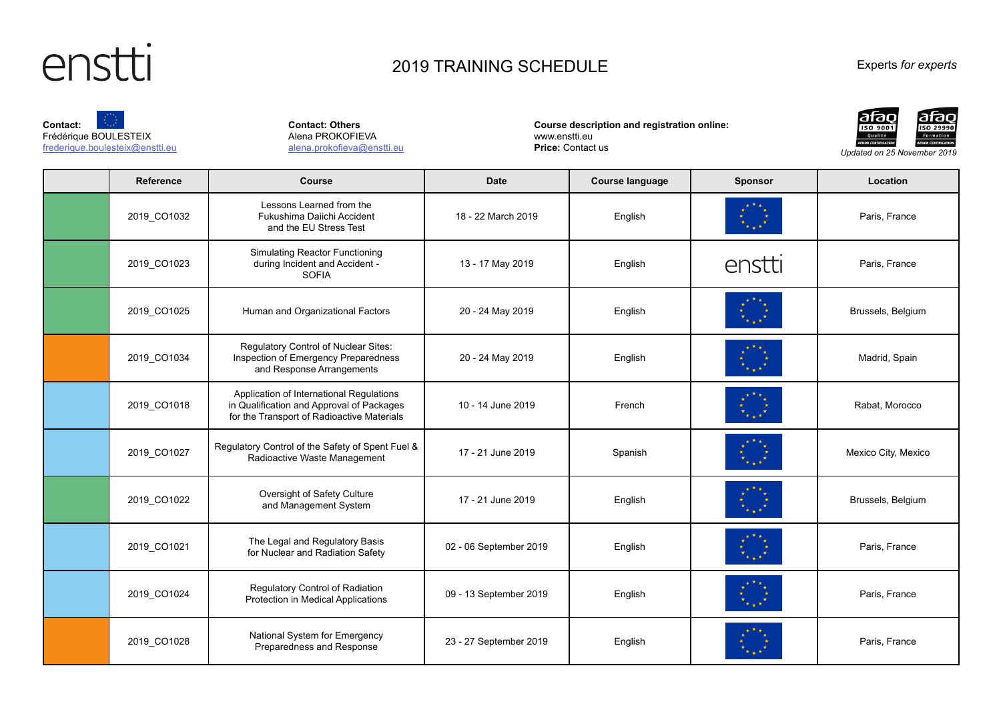

## 2019 TRAINING SCHEDULE Experts *for experts*

**Contact:** Frédérique BOULESTEIX [frederique.boulesteix@enstti.eu](mailto:frederique.boulesteix@enstti.eu)

**Contact: Others** Alena PROKOFIEVA [alena.prokofieva@enstti.eu](mailto:alena.prokofieva@enstti.eu) **Course description and registration online:** [www.enstti.eu](https://enstti.eu/wp/)<br>**Price:** Contact us



**Price:** Contact us *Updated on 25 November 2019*

| <b>Reference</b> | <b>Course</b>                                                                                                                       | <b>Date</b>            | Course language | <b>Sponsor</b> | Location            |
|------------------|-------------------------------------------------------------------------------------------------------------------------------------|------------------------|-----------------|----------------|---------------------|
| 2019_CO1032      | Lessons Learned from the<br>Fukushima Daiichi Accident<br>and the EU Stress Test                                                    | 18 - 22 March 2019     | English         |                | Paris, France       |
| 2019_CO1023      | <b>Simulating Reactor Functioning</b><br>during Incident and Accident -<br><b>SOFIA</b>                                             | 13 - 17 May 2019       | English         | enstti         | Paris, France       |
| 2019_CO1025      | Human and Organizational Factors                                                                                                    | 20 - 24 May 2019       | English         |                | Brussels, Belgium   |
| 2019_CO1034      | Regulatory Control of Nuclear Sites:<br>Inspection of Emergency Preparedness<br>and Response Arrangements                           | 20 - 24 May 2019       | English         |                | Madrid, Spain       |
| 2019_CO1018      | Application of International Regulations<br>in Qualification and Approval of Packages<br>for the Transport of Radioactive Materials | 10 - 14 June 2019      | French          |                | Rabat, Morocco      |
| 2019_CO1027      | Regulatory Control of the Safety of Spent Fuel &<br>Radioactive Waste Management                                                    | 17 - 21 June 2019      | Spanish         |                | Mexico City, Mexico |
| 2019_CO1022      | Oversight of Safety Culture<br>and Management System                                                                                | 17 - 21 June 2019      | English         |                | Brussels, Belgium   |
| 2019 CO1021      | The Legal and Regulatory Basis<br>for Nuclear and Radiation Safety                                                                  | 02 - 06 September 2019 | English         |                | Paris, France       |
| 2019_CO1024      | Regulatory Control of Radiation<br>Protection in Medical Applications                                                               | 09 - 13 September 2019 | English         |                | Paris, France       |
| 2019 CO1028      | National System for Emergency<br>Preparedness and Response                                                                          | 23 - 27 September 2019 | English         |                | Paris, France       |